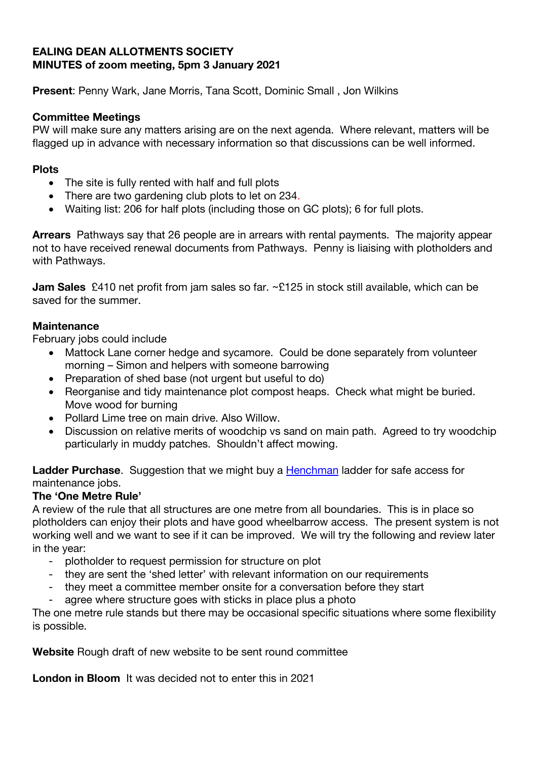#### **EALING DEAN ALLOTMENTS SOCIETY MINUTES of zoom meeting, 5pm 3 January 2021**

**Present**: Penny Wark, Jane Morris, Tana Scott, Dominic Small , Jon Wilkins

## **Committee Meetings**

PW will make sure any matters arising are on the next agenda. Where relevant, matters will be flagged up in advance with necessary information so that discussions can be well informed.

## **Plots**

- The site is fully rented with half and full plots
- There are two gardening club plots to let on 234.
- Waiting list: 206 for half plots (including those on GC plots); 6 for full plots.

**Arrears** Pathways say that 26 people are in arrears with rental payments. The majority appear not to have received renewal documents from Pathways. Penny is liaising with plotholders and with Pathways.

**Jam Sales** £410 net profit from jam sales so far. ~£125 in stock still available, which can be saved for the summer.

### **Maintenance**

February jobs could include

- Mattock Lane corner hedge and sycamore. Could be done separately from volunteer morning – Simon and helpers with someone barrowing
- Preparation of shed base (not urgent but useful to do)
- Reorganise and tidy maintenance plot compost heaps. Check what might be buried. Move wood for burning
- Pollard Lime tree on main drive. Also Willow.
- Discussion on relative merits of woodchip vs sand on main path. Agreed to try woodchip particularly in muddy patches. Shouldn't affect mowing.

**Ladder Purchase.** Suggestion that we might buy a Henchman ladder for safe access for maintenance jobs.

# **The 'One Metre Rule'**

A review of the rule that all structures are one metre from all boundaries. This is in place so plotholders can enjoy their plots and have good wheelbarrow access. The present system is not working well and we want to see if it can be improved. We will try the following and review later in the year:

- plotholder to request permission for structure on plot
- they are sent the 'shed letter' with relevant information on our requirements
- they meet a committee member onsite for a conversation before they start
- agree where structure goes with sticks in place plus a photo

The one metre rule stands but there may be occasional specific situations where some flexibility is possible.

**Website** Rough draft of new website to be sent round committee

**London in Bloom** It was decided not to enter this in 2021